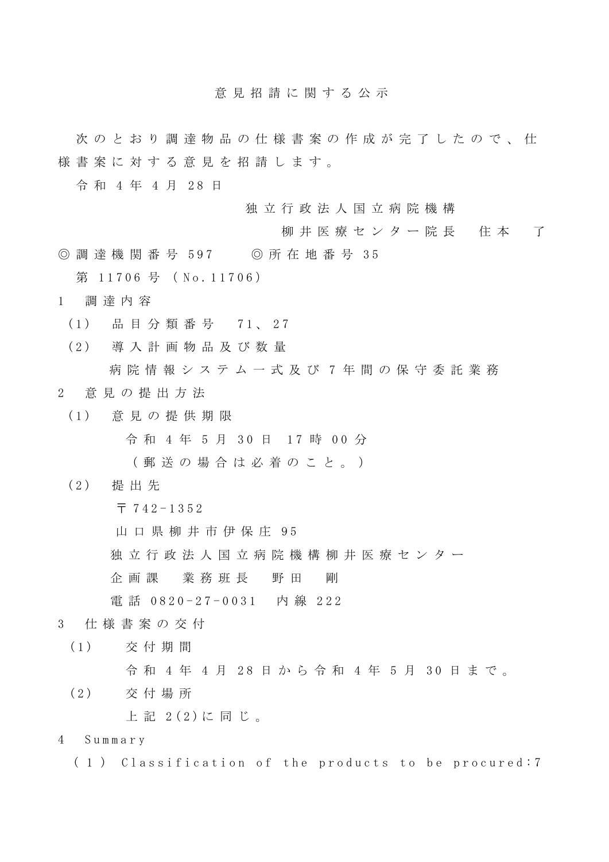意 見 招 請 に 関 す る 公 示

次 の と お り 調 達 物 品 の 仕 様 書 案 の 作 成 が 完 了 し た の で 、 仕 様 書 案 に 対 す る 意 見 を 招 請 し ま す 。

令 和 4 年 4 月 2 8 日

独 立 行 政 法 人 国 立 病 院 機 構

- 柳井 医療 センター院長 住本 了
- ◎ 調 達 機 関 番 号 597 ◎ 所 在 地 番 号 3 5

第 11706 号 (No. 11706)

- 1 調 達 内 容
	- (1) 品 目 分 類 番 号 7 1 、 2 7
	- (2) 導 入 計 画 物 品 及 び 数 量
- 病院情報システムー式及び7年間の保守委託業務 2 意 見 の 提 出 方 法
- (1) 意 見 の 提 供 期 限

令和 4年 5月 30日 17 時 00 分

( 郵 送 の 場 合 は 必 着 の こ と 。 )

- (2) 提 出 先
	- 〒 742 1 3 5 2

山 口 県 柳 井 市 伊 保 庄 95

独 立 行 政 法 人 国 立 病 院 機 構 柳 井 医 療 セ ン タ ー

企 画 課 業 務 班 長 野 田 剛

電話 0820-27-0031 内線 222

- 3 仕 様 書 案 の 交 付
	- (1) 交付期間 令 和 4 年 4 月 2 8 日から 令 和 4 年 5 月 3 0 日まで。
	- (2) 交付場所

上 記 2 (2) に 同 じ 。

- 4 S u m m a r y
	- (1) Classification of the products to be procured:7